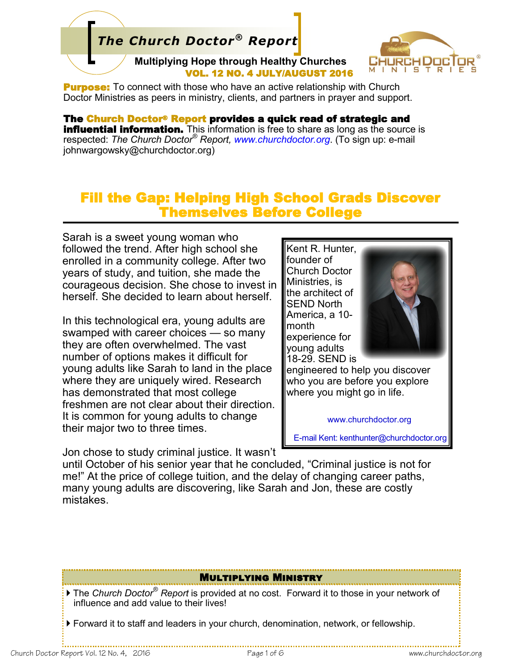# *The Church Doctor® Report*

**Multiplying Hope through Healthy Churches**  VOL. 12 NO. 4 JULY/AUGUST 2016



**Purpose:** To connect with those who have an active relationship with Church Doctor Ministries as peers in ministry, clients, and partners in prayer and support.

The Church Doctor® Report provides a quick read of strategic and **influential information.** This information is free to share as long as the source is respected: *The Church Doctor® Report, www.churchdoctor.org*. (To sign up: e-mail johnwargowsky@churchdoctor.org)

## Fill the Gap: Helping High School Grads Discover Themselves Before College

Sarah is a sweet young woman who followed the trend. After high school she enrolled in a community college. After two years of study, and tuition, she made the courageous decision. She chose to invest in herself. She decided to learn about herself.

In this technological era, young adults are swamped with career choices — so many they are often overwhelmed. The vast number of options makes it difficult for young adults like Sarah to land in the place where they are uniquely wired. Research has demonstrated that most college freshmen are not clear about their direction. It is common for young adults to change their major two to three times.

Jon chose to study criminal justice. It wasn't

Kent R. Hunter, founder of Church Doctor Ministries, is the architect of SEND North America, a 10 month experience for young adults 18-29. SEND is



engineered to help you discover who you are before you explore where you might go in life.

www.churchdoctor.org

E-mail Kent: kenthunter@churchdoctor.org

until October of his senior year that he concluded, "Criminal justice is not for me!" At the price of college tuition, and the delay of changing career paths, many young adults are discovering, like Sarah and Jon, these are costly mistakes.

#### Multiplying Ministry

 The *Church Doctor® Report* is provided at no cost. Forward it to those in your network of influence and add value to their lives!

Forward it to staff and leaders in your church, denomination, network, or fellowship.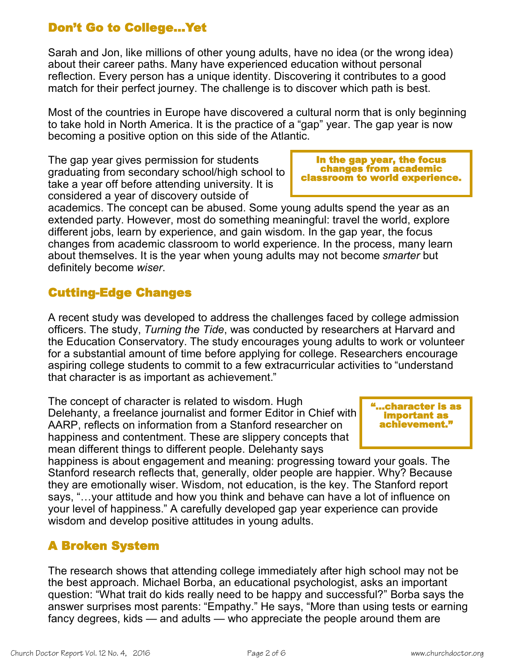## Don't Go to College…Yet

Sarah and Jon, like millions of other young adults, have no idea (or the wrong idea) about their career paths. Many have experienced education without personal reflection. Every person has a unique identity. Discovering it contributes to a good match for their perfect journey. The challenge is to discover which path is best.

Most of the countries in Europe have discovered a cultural norm that is only beginning to take hold in North America. It is the practice of a "gap" year. The gap year is now becoming a positive option on this side of the Atlantic.

The gap year gives permission for students graduating from secondary school/high school to take a year off before attending university. It is considered a year of discovery outside of

In the gap year, the focus changes from academic classroom to world experience.

academics. The concept can be abused. Some young adults spend the year as an extended party. However, most do something meaningful: travel the world, explore different jobs, learn by experience, and gain wisdom. In the gap year, the focus changes from academic classroom to world experience. In the process, many learn about themselves. It is the year when young adults may not become *smarter* but definitely become *wiser*.

### Cutting-Edge Changes

A recent study was developed to address the challenges faced by college admission officers. The study, *Turning the Tide*, was conducted by researchers at Harvard and the Education Conservatory. The study encourages young adults to work or volunteer for a substantial amount of time before applying for college. Researchers encourage aspiring college students to commit to a few extracurricular activities to "understand that character is as important as achievement."

The concept of character is related to wisdom. Hugh Delehanty, a freelance journalist and former Editor in Chief with AARP, reflects on information from a Stanford researcher on happiness and contentment. These are slippery concepts that mean different things to different people. Delehanty says

happiness is about engagement and meaning: progressing toward your goals. The Stanford research reflects that, generally, older people are happier. Why? Because they are emotionally wiser. Wisdom, not education, is the key. The Stanford report says, "…your attitude and how you think and behave can have a lot of influence on your level of happiness." A carefully developed gap year experience can provide wisdom and develop positive attitudes in young adults.

### A Broken System

The research shows that attending college immediately after high school may not be the best approach. Michael Borba, an educational psychologist, asks an important question: "What trait do kids really need to be happy and successful?" Borba says the answer surprises most parents: "Empathy." He says, "More than using tests or earning fancy degrees, kids — and adults — who appreciate the people around them are

"…character is as important as achievement."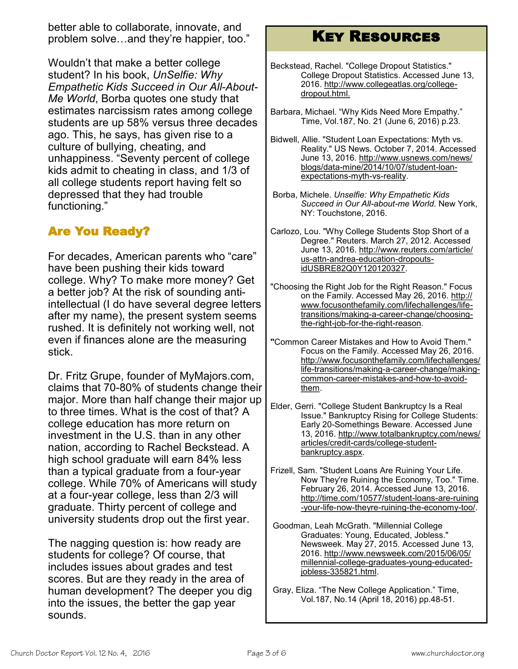better able to collaborate, innovate, and problem solve…and they're happier, too."

Wouldn't that make a better college student? In his book, *UnSelfie: Why Empathetic Kids Succeed in Our All-About-Me World*, Borba quotes one study that estimates narcissism rates among college students are up 58% versus three decades ago. This, he says, has given rise to a culture of bullying, cheating, and unhappiness. "Seventy percent of college kids admit to cheating in class, and 1/3 of all college students report having felt so depressed that they had trouble functioning."

## Are You Ready?

For decades, American parents who "care" have been pushing their kids toward college. Why? To make more money? Get a better job? At the risk of sounding antiintellectual (I do have several degree letters after my name), the present system seems rushed. It is definitely not working well, not even if finances alone are the measuring stick.

Dr. Fritz Grupe, founder of MyMajors.com, claims that 70-80% of students change their major. More than half change their major up to three times. What is the cost of that? A college education has more return on investment in the U.S. than in any other nation, according to Rachel Beckstead. A high school graduate will earn 84% less than a typical graduate from a four-year college. While 70% of Americans will study at a four-year college, less than 2/3 will graduate. Thirty percent of college and university students drop out the first year.

The nagging question is: how ready are students for college? Of course, that includes issues about grades and test scores. But are they ready in the area of human development? The deeper you dig into the issues, the better the gap year sounds.

# Key Resources

- Beckstead, Rachel. "College Dropout Statistics." College Dropout Statistics. Accessed June 13, 2016. [http://www.collegeatlas.org/college](http://www.collegeatlas.org/college-dropout.html.%20)[dropout.html.](http://www.collegeatlas.org/college-dropout.html.%20)
- Barbara, Michael. "Why Kids Need More Empathy." Time, Vol.187, No. 21 (June 6, 2016) p.23.
- Bidwell, Allie. "Student Loan Expectations: Myth vs. Reality." US News. October 7, 2014. Accessed June 13, 2016. [http://www.usnews.com/news/](http://www.usnews.com/news/blogs/data-mine/2014/10/07/student-loan-expectations-myth-vs-reality.%20) blogs/data-[mine/2014/10/07/student](http://www.usnews.com/news/blogs/data-mine/2014/10/07/student-loan-expectations-myth-vs-reality.%20)-loan[expectations](http://www.usnews.com/news/blogs/data-mine/2014/10/07/student-loan-expectations-myth-vs-reality.%20)-myth-vs-reality.
- Borba, Michele. *Unselfie: Why Empathetic Kids Succeed in Our All-about-me World*. New York, NY: Touchstone, 2016.
- Carlozo, Lou. "Why College Students Stop Short of a Degree." Reuters. March 27, 2012. Accessed June 13, 2016. [http://www.reuters.com/article/](http://www.reuters.com/article/us-attn-andrea-education-dropouts-idUSBRE82Q0Y120120327.%20) us-attn-andrea-[education](http://www.reuters.com/article/us-attn-andrea-education-dropouts-idUSBRE82Q0Y120120327.%20)-dropouts[idUSBRE82Q0Y120120327.](http://www.reuters.com/article/us-attn-andrea-education-dropouts-idUSBRE82Q0Y120120327.%20)
- "Choosing the Right Job for the Right Reason." Focus on the Family. Accessed May 26, 2016. [http://](http://www.focusonthefamily.com/lifechallenges/life-transitions/making-a-career-change/choosing-the-right-job-for-the-right-reason) [www.focusonthefamily.com/lifechallenges/life](http://www.focusonthefamily.com/lifechallenges/life-transitions/making-a-career-change/choosing-the-right-job-for-the-right-reason)[transitions/making](http://www.focusonthefamily.com/lifechallenges/life-transitions/making-a-career-change/choosing-the-right-job-for-the-right-reason)-a-career-change/choosingthe-right-job-for-the-right-[reason.](http://www.focusonthefamily.com/lifechallenges/life-transitions/making-a-career-change/choosing-the-right-job-for-the-right-reason)
- **"**Common Career Mistakes and How to Avoid Them." Focus on the Family. Accessed May 26, 2016. [http://www.focusonthefamily.com/lifechallenges/](http://www.focusonthefamily.com/lifechallenges/life-transitions/making-a-career-change/making-common-career-mistakes-and-how-to-avoid-them) life-[transitions/making](http://www.focusonthefamily.com/lifechallenges/life-transitions/making-a-career-change/making-common-career-mistakes-and-how-to-avoid-them)-a-career-change/makingcommon-career-[mistakes](http://www.focusonthefamily.com/lifechallenges/life-transitions/making-a-career-change/making-common-career-mistakes-and-how-to-avoid-them)-and-how-to-avoid[them.](http://www.focusonthefamily.com/lifechallenges/life-transitions/making-a-career-change/making-common-career-mistakes-and-how-to-avoid-them)
- Elder, Gerri. "College Student Bankruptcy Is a Real Issue." Bankruptcy Rising for College Students: Early 20-Somethings Beware. Accessed June 13, 2016. [http://www.totalbankruptcy.com/news/](http://www.totalbankruptcy.com/news/articles/credit-cards/college-student-bankruptcy.aspx) articles/credit-[cards/college](http://www.totalbankruptcy.com/news/articles/credit-cards/college-student-bankruptcy.aspx)-student[bankruptcy.aspx.](http://www.totalbankruptcy.com/news/articles/credit-cards/college-student-bankruptcy.aspx)
- Frizell, Sam. "Student Loans Are Ruining Your Life. Now They're Ruining the Economy, Too." Time. February 26, 2014. Accessed June 13, 2016. [http://time.com/10577/student](http://time.com/10577/student-loans-are-ruining-your-life-now-theyre-ruining-the-economy-too/.%20)-loans-are-ruining -your-life-now-theyre-ruining-the-[economy](http://time.com/10577/student-loans-are-ruining-your-life-now-theyre-ruining-the-economy-too/.%20)-too/.
- Goodman, Leah McGrath. "Millennial College Graduates: Young, Educated, Jobless." Newsweek. May 27, 2015. Accessed June 13, 2016. [http://www.newsweek.com/2015/06/05/](http://www.newsweek.com/2015/06/05/millennial-college-graduates-young-educated-jobless-335821.html.%20) millennial-college-[graduates](http://www.newsweek.com/2015/06/05/millennial-college-graduates-young-educated-jobless-335821.html.%20)-young-educatedjobless-[335821.html.](http://www.newsweek.com/2015/06/05/millennial-college-graduates-young-educated-jobless-335821.html.%20)
- Gray, Eliza. "The New College Application." Time, Vol.187, No.14 (April 18, 2016) pp.48-51.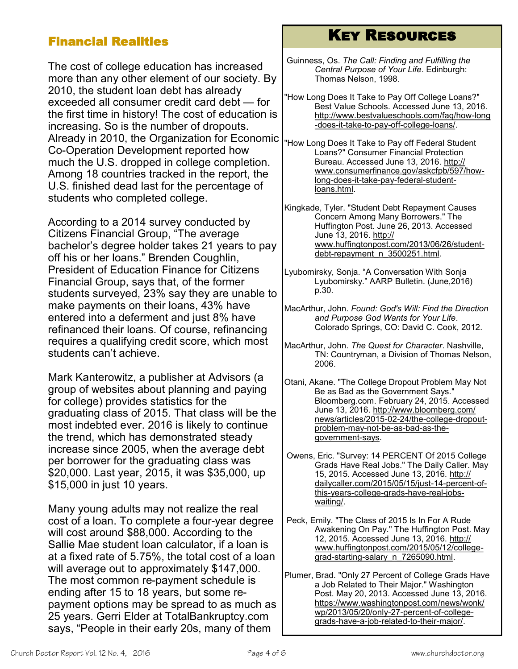### Financial Realities

The cost of college education has increased more than any other element of our society. By 2010, the student loan debt has already exceeded all consumer credit card debt — for the first time in history! The cost of education is increasing. So is the number of dropouts. Already in 2010, the Organization for Economic Co-Operation Development reported how much the U.S. dropped in college completion. Among 18 countries tracked in the report, the U.S. finished dead last for the percentage of students who completed college.

According to a 2014 survey conducted by Citizens Financial Group, "The average bachelor's degree holder takes 21 years to pay off his or her loans." Brenden Coughlin, President of Education Finance for Citizens Financial Group, says that, of the former students surveyed, 23% say they are unable to make payments on their loans, 43% have entered into a deferment and just 8% have refinanced their loans. Of course, refinancing requires a qualifying credit score, which most students can't achieve.

Mark Kanterowitz, a publisher at Advisors (a group of websites about planning and paying for college) provides statistics for the graduating class of 2015. That class will be the most indebted ever. 2016 is likely to continue the trend, which has demonstrated steady increase since 2005, when the average debt per borrower for the graduating class was \$20,000. Last year, 2015, it was \$35,000, up \$15,000 in just 10 years.

Many young adults may not realize the real cost of a loan. To complete a four-year degree will cost around \$88,000. According to the Sallie Mae student loan calculator, if a loan is at a fixed rate of 5.75%, the total cost of a loan will average out to approximately \$147,000. The most common re-payment schedule is ending after 15 to 18 years, but some repayment options may be spread to as much as 25 years. Gerri Elder at TotalBankruptcy.com says, "People in their early 20s, many of them

## Key Resources

Guinness, Os. *The Call: Finding and Fulfilling the Central Purpose of Your Life*. Edinburgh: Thomas Nelson, 1998.

"How Long Does It Take to Pay Off College Loans?" Best Value Schools. Accessed June 13, 2016. [http://www.bestvalueschools.com/faq/how](http://www.bestvalueschools.com/faq/how-long-does-it-take-to-pay-off-college-loans/.%20)-long -does-it-take-to-pay-off-[college](http://www.bestvalueschools.com/faq/how-long-does-it-take-to-pay-off-college-loans/.%20)-loans/.

"How Long Does It Take to Pay off Federal Student Loans?" Consumer Financial Protection Bureau. Accessed June 13, 2016. [http://](http://www.consumerfinance.gov/askcfpb/597/how-long-does-it-take-pay-federal-student-loans.html.%20) [www.consumerfinance.gov/askcfpb/597/how](http://www.consumerfinance.gov/askcfpb/597/how-long-does-it-take-pay-federal-student-loans.html.%20)long-does-it-take-pay-federal-[student](http://www.consumerfinance.gov/askcfpb/597/how-long-does-it-take-pay-federal-student-loans.html.%20)[loans.html.](http://www.consumerfinance.gov/askcfpb/597/how-long-does-it-take-pay-federal-student-loans.html.%20)

Kingkade, Tyler. "Student Debt Repayment Causes Concern Among Many Borrowers." The Huffington Post. June 26, 2013. Accessed June 13, 2016. [http://](http://www.huffingtonpost.com/2013/06/26/student-debt-repayment_n_3500251.html.%20) [www.huffingtonpost.com/2013/06/26/student](http://www.huffingtonpost.com/2013/06/26/student-debt-repayment_n_3500251.html.%20)debt-[repayment\\_n\\_3500251.html.](http://www.huffingtonpost.com/2013/06/26/student-debt-repayment_n_3500251.html.%20)

- Lyubomirsky, Sonja. "A Conversation With Sonja Lyubomirsky." AARP Bulletin. (June,2016) p.30.
- MacArthur, John. *Found: God's Will: Find the Direction and Purpose God Wants for Your Life*. Colorado Springs, CO: David C. Cook, 2012.
- MacArthur, John. *The Quest for Character*. Nashville, TN: Countryman, a Division of Thomas Nelson, 2006.
- Otani, Akane. "The College Dropout Problem May Not Be as Bad as the Government Says." Bloomberg.com. February 24, 2015. Accessed June 13, 2016. [http://www.bloomberg.com/](http://www.bloomberg.com/news/articles/2015-02-24/the-college-dropout-problem-may-not-be-as-bad-as-the-government-says) [news/articles/2015](http://www.bloomberg.com/news/articles/2015-02-24/the-college-dropout-problem-may-not-be-as-bad-as-the-government-says)-02-24/the-college-dropout[problem](http://www.bloomberg.com/news/articles/2015-02-24/the-college-dropout-problem-may-not-be-as-bad-as-the-government-says)-may-not-be-as-bad-as-the[government](http://www.bloomberg.com/news/articles/2015-02-24/the-college-dropout-problem-may-not-be-as-bad-as-the-government-says)-says.
- Owens, Eric. "Survey: 14 PERCENT Of 2015 College Grads Have Real Jobs." The Daily Caller. May 15, 2015. Accessed June 13, 2016. [http://](http://dailycaller.com/2015/05/15/just-14-percent-of-this-years-college-grads-have-real-jobs-waiting/.%20) [dailycaller.com/2015/05/15/just](http://dailycaller.com/2015/05/15/just-14-percent-of-this-years-college-grads-have-real-jobs-waiting/.%20)-14-percent-ofthis-years-[college](http://dailycaller.com/2015/05/15/just-14-percent-of-this-years-college-grads-have-real-jobs-waiting/.%20)-grads-have-real-jobs[waiting/.](http://dailycaller.com/2015/05/15/just-14-percent-of-this-years-college-grads-have-real-jobs-waiting/.%20)
- Peck, Emily. "The Class of 2015 Is In For A Rude Awakening On Pay." The Huffington Post. May 12, 2015. Accessed June 13, 2016. [http://](http://www.huffingtonpost.com/2015/05/12/college-grad-starting-salary_n_7265090.html.%20) [www.huffingtonpost.com/2015/05/12/college](http://www.huffingtonpost.com/2015/05/12/college-grad-starting-salary_n_7265090.html.%20)grad-starting-salary\_n\_7265090.html.

Plumer, Brad. "Only 27 Percent of College Grads Have a Job Related to Their Major." Washington Post. May 20, 2013. Accessed June 13, 2016. [https://www.washingtonpost.com/news/wonk/](https://www.washingtonpost.com/news/wonk/wp/2013/05/20/only-27-percent-of-college-grads-have-a-job-related-to-their-major/.%20) [wp/2013/05/20/only](https://www.washingtonpost.com/news/wonk/wp/2013/05/20/only-27-percent-of-college-grads-have-a-job-related-to-their-major/.%20)-27-percent-of-collegegrads-have-a-job-related-to-their-[major/.](https://www.washingtonpost.com/news/wonk/wp/2013/05/20/only-27-percent-of-college-grads-have-a-job-related-to-their-major/.%20)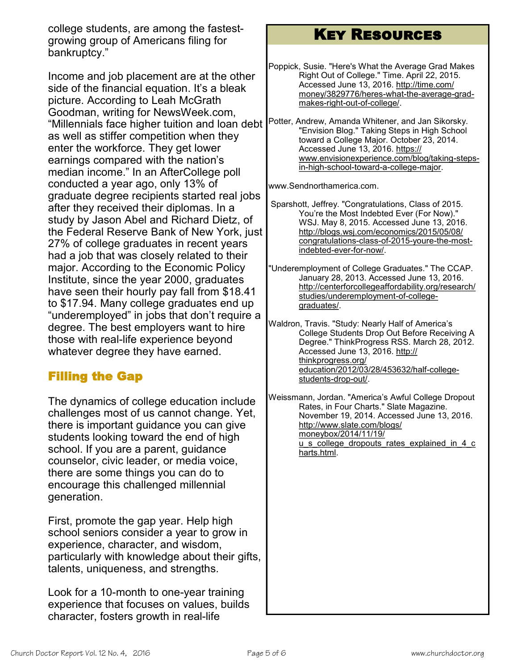college students, are among the fastestgrowing group of Americans filing for bankruptcy."

Income and job placement are at the other side of the financial equation. It's a bleak picture. According to Leah McGrath Goodman, writing for NewsWeek.com, "Millennials face higher tuition and loan debt as well as stiffer competition when they enter the workforce. They get lower earnings compared with the nation's median income." In an AfterCollege poll conducted a year ago, only 13% of graduate degree recipients started real jobs after they received their diplomas. In a study by Jason Abel and Richard Dietz, of the Federal Reserve Bank of New York, just 27% of college graduates in recent years had a job that was closely related to their major. According to the Economic Policy Institute, since the year 2000, graduates have seen their hourly pay fall from \$18.41 to \$17.94. Many college graduates end up "underemployed" in jobs that don't require a degree. The best employers want to hire those with real-life experience beyond whatever degree they have earned.

### Filling the Gap

The dynamics of college education include challenges most of us cannot change. Yet, there is important guidance you can give students looking toward the end of high school. If you are a parent, guidance counselor, civic leader, or media voice, there are some things you can do to encourage this challenged millennial generation.

First, promote the gap year. Help high school seniors consider a year to grow in experience, character, and wisdom, particularly with knowledge about their gifts, talents, uniqueness, and strengths.

Look for a 10-month to one-year training experience that focuses on values, builds character, fosters growth in real-life

## Key Resources

- Poppick, Susie. "Here's What the Average Grad Makes Right Out of College." Time. April 22, 2015. Accessed June 13, 2016. [http://time.com/](http://time.com/money/3829776/heres-what-the-average-grad-makes-right-out-of-college/.%20) [money/3829776/heres](http://time.com/money/3829776/heres-what-the-average-grad-makes-right-out-of-college/.%20)-what-the-average-gradmakes-right-out-of-[college/.](http://time.com/money/3829776/heres-what-the-average-grad-makes-right-out-of-college/.%20)
- Potter, Andrew, Amanda Whitener, and Jan Sikorsky. "Envision Blog." Taking Steps in High School toward a College Major. October 23, 2014. Accessed June 13, 2016. [https://](https://www.envisionexperience.com/blog/taking-steps-in-high-school-toward-a-college-major.%20) [www.envisionexperience.com/blog/taking](https://www.envisionexperience.com/blog/taking-steps-in-high-school-toward-a-college-major.%20)-stepsin-high-school-toward-a-[college](https://www.envisionexperience.com/blog/taking-steps-in-high-school-toward-a-college-major.%20)-major.

[www.Sendnorthamerica.com.](http://www.Sendnorthamerica.com)

- Sparshott, Jeffrey. "Congratulations, Class of 2015. You're the Most Indebted Ever (For Now)." WSJ. May 8, 2015. Accessed June 13, 2016. [http://blogs.wsj.com/economics/2015/05/08/](http://blogs.wsj.com/economics/2015/05/08/congratulations-class-of-2015-youre-the-most-indebted-ever-for-now/.%20) [congratulations](http://blogs.wsj.com/economics/2015/05/08/congratulations-class-of-2015-youre-the-most-indebted-ever-for-now/.%20)-class-of-2015-youre-the-most[indebted](http://blogs.wsj.com/economics/2015/05/08/congratulations-class-of-2015-youre-the-most-indebted-ever-for-now/.%20)-ever-for-now/.
- "Underemployment of College Graduates." The CCAP. January 28, 2013. Accessed June 13, 2016. [http://centerforcollegeaffordability.org/research/](http://centerforcollegeaffordability.org/research/studies/underemployment-of-college-graduates/.%20) [studies/underemployment](http://centerforcollegeaffordability.org/research/studies/underemployment-of-college-graduates/.%20)-of-college[graduates/.](http://centerforcollegeaffordability.org/research/studies/underemployment-of-college-graduates/.%20)

Waldron, Travis. "Study: Nearly Half of America's College Students Drop Out Before Receiving A Degree." ThinkProgress RSS. March 28, 2012. Accessed June 13, 2016. [http://](http://thinkprogress.org/education/2012/03/28/453632/half-college-students-drop-out/) [thinkprogress.org/](http://thinkprogress.org/education/2012/03/28/453632/half-college-students-drop-out/) [education/2012/03/28/453632/half](http://thinkprogress.org/education/2012/03/28/453632/half-college-students-drop-out/)-college[students](http://thinkprogress.org/education/2012/03/28/453632/half-college-students-drop-out/)-drop-out/.

Weissmann, Jordan. "America's Awful College Dropout Rates, in Four Charts." Slate Magazine. November 19, 2014. Accessed June 13, 2016. [http://www.slate.com/blogs/](http://www.slate.com/blogs/moneybox/2014/11/19/u_s_college_dropouts_rates_explained_in_4_charts.html.%20) [moneybox/2014/11/19/](http://www.slate.com/blogs/moneybox/2014/11/19/u_s_college_dropouts_rates_explained_in_4_charts.html.%20) [u\\_s\\_college\\_dropouts\\_rates\\_explained\\_in\\_4\\_c](http://www.slate.com/blogs/moneybox/2014/11/19/u_s_college_dropouts_rates_explained_in_4_charts.html.%20) [harts.html.](http://www.slate.com/blogs/moneybox/2014/11/19/u_s_college_dropouts_rates_explained_in_4_charts.html.%20)